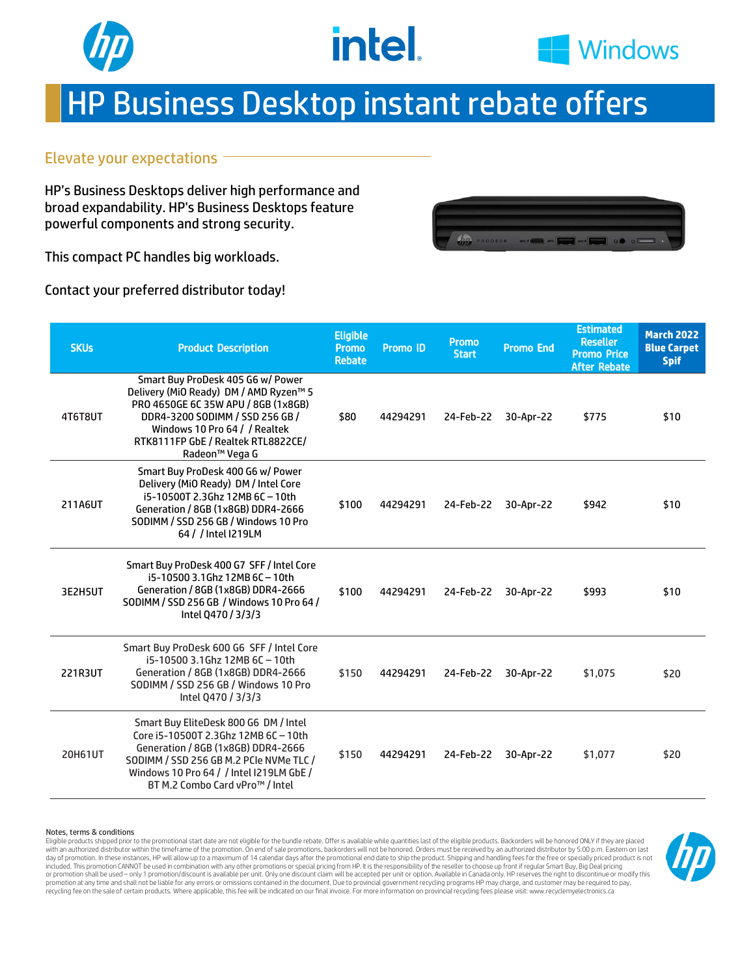



## HP Business Desktop instant rebate offers

#### Elevate your expectations

HP's Business Desktops deliver high performance and broad expandability. HP's Business Desktops feature powerful components and strong security.

This compact PC handles big workloads.

Contact your preferred distributor today!

| <b>SKUs</b>    | <b>Product Description</b>                                                                                                                                                                                                                     | <b>Eligible</b><br><b>Promo</b><br><b>Rebate</b> | Promo ID | <b>Promo</b><br><b>Start</b> | <b>Promo End</b> | <b>Estimated</b><br><b>Reseller</b><br><b>Promo Price</b><br><b>After Rebate</b> | <b>March 2022</b><br><b>Blue Carpet</b><br><b>Spif</b> |
|----------------|------------------------------------------------------------------------------------------------------------------------------------------------------------------------------------------------------------------------------------------------|--------------------------------------------------|----------|------------------------------|------------------|----------------------------------------------------------------------------------|--------------------------------------------------------|
| 4T6T8UT        | Smart Buy ProDesk 405 G6 w/ Power<br>Delivery (MiO Ready) DM / AMD Ryzen™ 5<br>PRO 4650GE 6C 35W APU / 8GB (1x8GB)<br>DDR4-3200 SODIMM / SSD 256 GB /<br>Windows 10 Pro 64 / / Realtek<br>RTK8111FP GbE / Realtek RTL8822CE/<br>Radeon™ Vega G | \$80                                             | 44294291 | 24-Feb-22                    | 30-Apr-22        | \$775                                                                            | \$10                                                   |
| 211A6UT        | Smart Buy ProDesk 400 G6 w/ Power<br>Delivery (MiO Ready) DM / Intel Core<br>i5-10500T 2.3Ghz 12MB 6C-10th<br>Generation / 8GB (1x8GB) DDR4-2666<br>SODIMM / SSD 256 GB / Windows 10 Pro<br>64 / / Intel I219LM                                | \$100                                            | 44294291 | 24-Feb-22                    | 30-Apr-22        | \$942                                                                            | \$10                                                   |
| 3E2H5UT        | Smart Buy ProDesk 400 G7 SFF / Intel Core<br>i5-10500 3.1Ghz 12MB 6C-10th<br>Generation / 8GB (1x8GB) DDR4-2666<br>SODIMM / SSD 256 GB / Windows 10 Pro 64 /<br>Intel 0470 / 3/3/3                                                             | \$100                                            | 44294291 | 24-Feb-22                    | 30-Apr-22        | \$993                                                                            | \$10                                                   |
| 221R3UT        | Smart Buy ProDesk 600 G6 SFF / Intel Core<br>i5-10500 3.1Ghz 12MB 6C - 10th<br>Generation / 8GB (1x8GB) DDR4-2666<br>SODIMM / SSD 256 GB / Windows 10 Pro<br>Intel 0470 / 3/3/3                                                                | \$150                                            | 44294291 | 24-Feb-22                    | 30-Apr-22        | \$1,075                                                                          | \$20                                                   |
| <b>20H61UT</b> | Smart Buy EliteDesk 800 G6 DM / Intel<br>Core i5-10500T 2.3Ghz 12MB 6C-10th<br>Generation / 8GB (1x8GB) DDR4-2666<br>SODIMM / SSD 256 GB M.2 PCIe NVMe TLC /<br>Windows 10 Pro 64 / / Intel I219LM GbE /<br>BT M.2 Combo Card vPro™ / Intel    | \$150                                            | 44294291 | 24-Feb-22                    | 30-Apr-22        | \$1.077                                                                          | \$20                                                   |

Notes, terms & conditions

Eligible products shipped prior to the promotional start date are not eligible for the bundle rebate. Offer is available while quantities last of the eligible products. Backorders will be honored ONLY if they are placed<br>wi day of promotion. In these instances, HP will allow up to a maximum of 14 calendar days after the promotional end date to ship the product. Shipping and handling fees for the free or specially priced product is not<br>include or promotion shall be used – only 1 promotion/discount is available per unit. Only one discount claim will be accepted per unit or option. Available in Canada only. HP reserves the right to discontinue or modify this promotion at any time and shall not be liable for any errors or omissions contained in the document. Due to provincial government recycling programs HP may charge, and customer may be required to pay, recycling fee on the sale of certain products. Where applicable, this fee will be indicated on our final invoice. For more information on provincial recycling fees please visit: www.recyclemyelectronics.ca

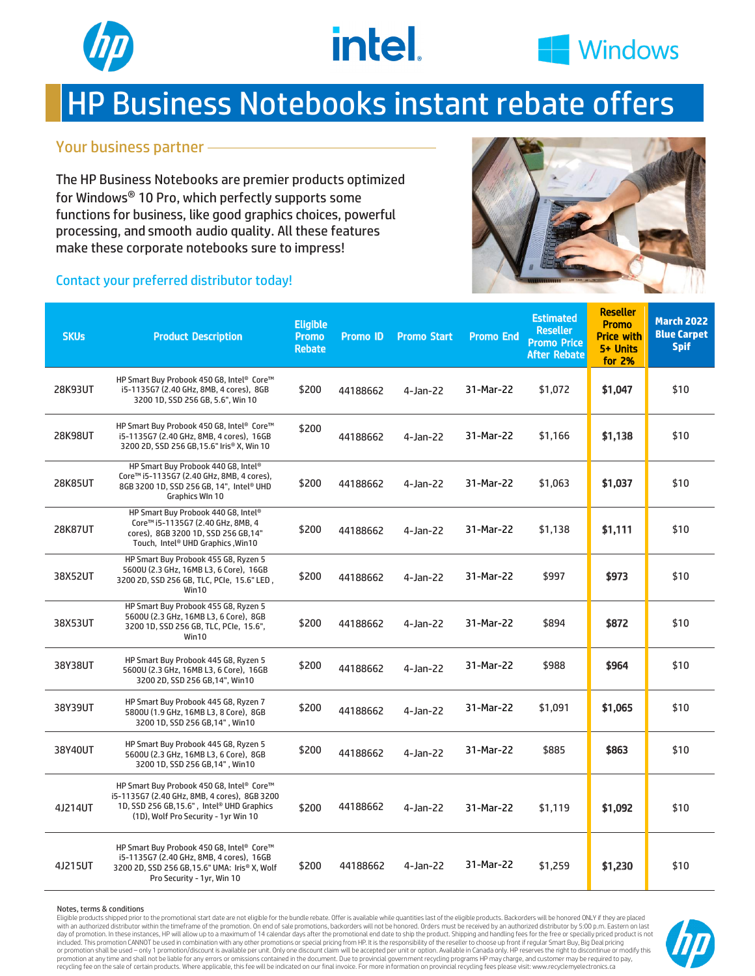



## HP Business Notebooks instant rebate offers

#### Your business partner

The HP Business Notebooks are premier products optimized for Windows® 10 Pro, which perfectly supports some functions for business, like good graphics choices, powerful processing, and smooth audio quality. All these features make these corporate notebooks sure to impress!

#### Contact your preferred distributor today!



| <b>SKUs</b> | <b>Product Description</b>                                                                                                                                                      | <b>Eligible</b><br><b>Promo</b><br><b>Rebate</b> | Promo ID | <b>Promo Start</b> | <b>Promo End</b> | <b>Estimated</b><br><b>Reseller</b><br><b>Promo Price</b><br><b>After Rebate</b> | <b>Reseller</b><br><b>Promo</b><br><b>Price with</b><br>5+ Units<br>for 2% | <b>March 2022</b><br><b>Blue Carpet</b><br><b>Spif</b> |
|-------------|---------------------------------------------------------------------------------------------------------------------------------------------------------------------------------|--------------------------------------------------|----------|--------------------|------------------|----------------------------------------------------------------------------------|----------------------------------------------------------------------------|--------------------------------------------------------|
| 28K93UT     | HP Smart Buy Probook 450 G8, Intel® Core™<br>i5-1135G7 (2.40 GHz, 8MB, 4 cores), 8GB<br>3200 1D, SSD 256 GB, 5.6", Win 10                                                       | \$200                                            | 44188662 | 4-Jan-22           | 31-Mar-22        | \$1,072                                                                          | \$1,047                                                                    | \$10                                                   |
| 28K98UT     | HP Smart Buy Probook 450 G8, Intel® Core™<br>i5-1135G7 (2.40 GHz, 8MB, 4 cores), 16GB<br>3200 2D, SSD 256 GB, 15.6" Iris® X, Win 10                                             | \$200                                            | 44188662 | 4-Jan-22           | 31-Mar-22        | \$1,166                                                                          | \$1,138                                                                    | \$10                                                   |
| 28K85UT     | HP Smart Buy Probook 440 G8, Intel®<br>Core™ i5-1135G7 (2.40 GHz, 8MB, 4 cores),<br>8GB 3200 1D, SSD 256 GB, 14", Intel® UHD<br>Graphics WIn 10                                 | \$200                                            | 44188662 | 4-Jan-22           | 31-Mar-22        | \$1,063                                                                          | \$1,037                                                                    | \$10                                                   |
| 28K87UT     | HP Smart Buy Probook 440 G8, Intel®<br>Core™ i5-1135G7 (2.40 GHz, 8MB, 4<br>cores), 8GB 3200 1D, SSD 256 GB, 14"<br>Touch, Intel® UHD Graphics, Win10                           | \$200                                            | 44188662 | 4-Jan-22           | 31-Mar-22        | \$1,138                                                                          | \$1,111                                                                    | \$10                                                   |
| 38X52UT     | HP Smart Buy Probook 455 G8, Ryzen 5<br>5600U (2.3 GHz, 16MB L3, 6 Core), 16GB<br>3200 2D, SSD 256 GB, TLC, PCIe, 15.6" LED,<br>Win10                                           | \$200                                            | 44188662 | 4-Jan-22           | 31-Mar-22        | \$997                                                                            | \$973                                                                      | \$10                                                   |
| 38X53UT     | HP Smart Buy Probook 455 G8, Ryzen 5<br>5600U (2.3 GHz, 16MB L3, 6 Core), 8GB<br>3200 1D, SSD 256 GB, TLC, PCIe, 15.6",<br>Win10                                                | \$200                                            | 44188662 | 4-Jan-22           | 31-Mar-22        | \$894                                                                            | \$872                                                                      | \$10                                                   |
| 38Y38UT     | HP Smart Buy Probook 445 G8, Ryzen 5<br>5600U (2.3 GHz, 16MB L3, 6 Core), 16GB<br>3200 2D, SSD 256 GB, 14", Win10                                                               | \$200                                            | 44188662 | 4-Jan-22           | 31-Mar-22        | \$988                                                                            | \$964                                                                      | \$10                                                   |
| 38Y39UT     | HP Smart Buy Probook 445 G8, Ryzen 7<br>5800U (1.9 GHz, 16MB L3, 8 Core), 8GB<br>3200 1D, SSD 256 GB, 14", Win10                                                                | \$200                                            | 44188662 | 4-Jan-22           | 31-Mar-22        | \$1,091                                                                          | \$1,065                                                                    | \$10                                                   |
| 38Y40UT     | HP Smart Buy Probook 445 G8, Ryzen 5<br>5600U (2.3 GHz, 16MB L3, 6 Core), 8GB<br>3200 1D, SSD 256 GB, 14", Win10                                                                | \$200                                            | 44188662 | 4-Jan-22           | 31-Mar-22        | \$885                                                                            | \$863                                                                      | \$10                                                   |
| 4J214UT     | HP Smart Buy Probook 450 G8, Intel® Core™<br>i5-1135G7 (2.40 GHz, 8MB, 4 cores), 8GB 3200<br>1D, SSD 256 GB, 15.6", Intel® UHD Graphics<br>(1D), Wolf Pro Security - 1yr Win 10 | \$200                                            | 44188662 | 4-Jan-22           | 31-Mar-22        | \$1,119                                                                          | \$1,092                                                                    | \$10                                                   |
| 4J215UT     | HP Smart Buy Probook 450 G8, Intel® Core™<br>i5-1135G7 (2.40 GHz, 8MB, 4 cores), 16GB<br>3200 2D, SSD 256 GB, 15.6" UMA: Iris® X, Wolf<br>Pro Security - 1yr, Win 10            | \$200                                            | 44188662 | 4-Jan-22           | 31-Mar-22        | \$1,259                                                                          | \$1,230                                                                    | \$10                                                   |

#### Notes, terms & conditions

Eligible products shipped prior to the promotional start date are not eligible for the bundle rebate. Offer is available while quantities last of the eligible products. Backorders will be honored ONLY if they are placed with an authorized distributor within the timeframe of the promotion. On end of sale promotions, backorders will not be honored. Orders must be received by an authorized distributor by 5:00 p.m. Eastern on last<br>day of prom included. This promotion CANNOT be used in combination with any other promotions or special pricing from HP. It is the responsibility of the reseller to choose up front if regular Smart Buy, Big Deal pricing or promotion shall be used – only 1 promotion/discount is available per unit. Only one discount claim will be accepted per unit or option. Available in Canada only. HP reserves the right to discontinue or modify this promotion at any time and shall not be liable for any errors or omissions contained in the document. Due to provincial government recycling programs HP may charge, and customer may be required to pay, recycling fee on the sale of certain products. Where applicable, this fee will be indicated on our final invoice. For more information on provincial recycling fees please visit: www.recyclemyelectronics.ca

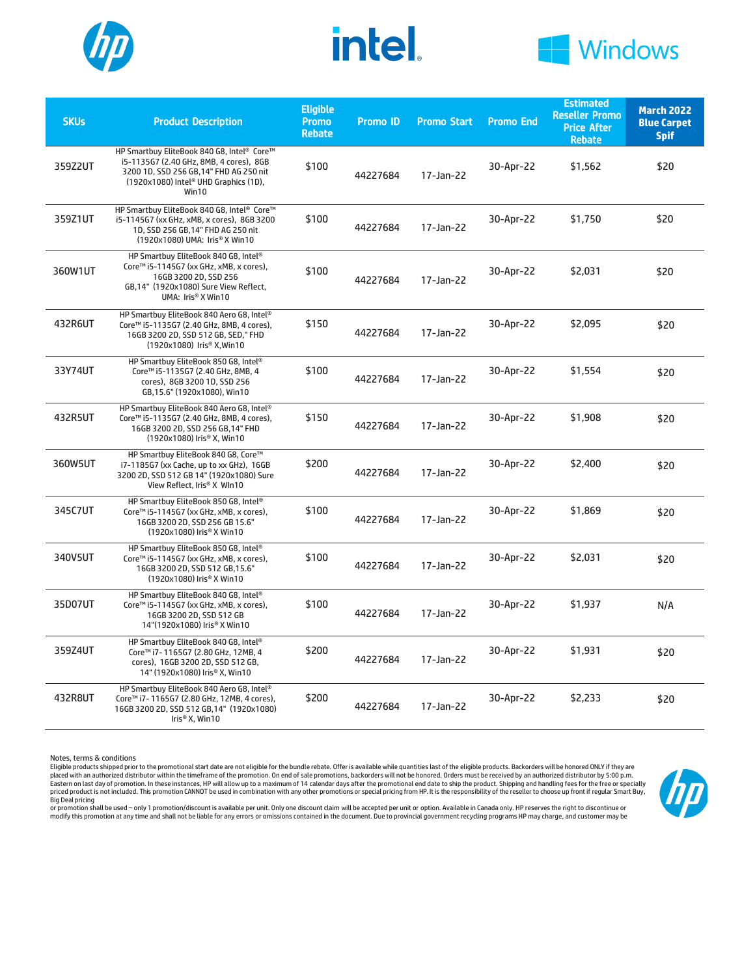





| <b>SKUs</b> | <b>Product Description</b>                                                                                                                                                         | <b>Eligible</b><br><b>Promo</b><br><b>Rebate</b> | <b>Promo ID</b> | <b>Promo Start</b> | <b>Promo End</b> | <b>Estimated</b><br><b>Reseller Promo</b><br><b>Price After</b><br><b>Rebate</b> | <b>March 2022</b><br><b>Blue Carpet</b><br><b>Spif</b> |
|-------------|------------------------------------------------------------------------------------------------------------------------------------------------------------------------------------|--------------------------------------------------|-----------------|--------------------|------------------|----------------------------------------------------------------------------------|--------------------------------------------------------|
| 359Z2UT     | HP Smartbuy EliteBook 840 G8, Intel® Core™<br>i5-1135G7 (2.40 GHz, 8MB, 4 cores), 8GB<br>3200 1D, SSD 256 GB, 14" FHD AG 250 nit<br>(1920x1080) Intel® UHD Graphics (1D),<br>Win10 | \$100                                            | 44227684        | 17-Jan-22          | 30-Apr-22        | \$1,562                                                                          | \$20                                                   |
| 359Z1UT     | HP Smartbuy EliteBook 840 G8, Intel® Core™<br>i5-1145G7 (xx GHz, xMB, x cores), 8GB 3200<br>1D, SSD 256 GB, 14" FHD AG 250 nit<br>(1920x1080) UMA: Iris® X Win10                   | \$100                                            | 44227684        | 17-Jan-22          | 30-Apr-22        | \$1,750                                                                          | \$20                                                   |
| 360W1UT     | HP Smartbuy EliteBook 840 G8, Intel®<br>Core™ i5-1145G7 (xx GHz, xMB, x cores),<br>16GB 3200 2D, SSD 256<br>GB, 14" (1920x1080) Sure View Reflect,<br>UMA: Iris® X Win10           | \$100                                            | 44227684        | $17 - Jan-22$      | 30-Apr-22        | \$2,031                                                                          | \$20                                                   |
| 432R6UT     | HP Smartbuy EliteBook 840 Aero G8, Intel®<br>Core™ i5-1135G7 (2.40 GHz, 8MB, 4 cores),<br>16GB 3200 2D, SSD 512 GB, SED," FHD<br>(1920x1080) Iris® X, Win10                        | \$150                                            | 44227684        | 17-Jan-22          | 30-Apr-22        | \$2,095                                                                          | \$20                                                   |
| 33Y74UT     | HP Smartbuy EliteBook 850 G8, Intel®<br>Core™ i5-1135G7 (2.40 GHz, 8MB, 4<br>cores), 8GB 3200 1D, SSD 256<br>GB, 15.6" (1920x1080), Win10                                          | \$100                                            | 44227684        | 17-Jan-22          | 30-Apr-22        | \$1.554                                                                          | \$20                                                   |
| 432R5UT     | HP Smartbuy EliteBook 840 Aero G8, Intel®<br>Core™ i5-1135G7 (2.40 GHz, 8MB, 4 cores),<br>16GB 3200 2D, SSD 256 GB, 14" FHD<br>(1920x1080) Iris® X, Win10                          | \$150                                            | 44227684        | 17-Jan-22          | 30-Apr-22        | \$1,908                                                                          | \$20                                                   |
| 360W5UT     | HP Smartbuy EliteBook 840 G8, Core™<br>i7-1185G7 (xx Cache, up to xx GHz), 16GB<br>3200 2D, SSD 512 GB 14" (1920x1080) Sure<br>View Reflect, Iris® X WIn10                         | \$200                                            | 44227684        | 17-Jan-22          | 30-Apr-22        | \$2,400                                                                          | \$20                                                   |
| 345C7UT     | HP Smartbuy EliteBook 850 G8, Intel®<br>Core™ i5-1145G7 (xx GHz, xMB, x cores),<br>16GB 3200 2D, SSD 256 GB 15.6"<br>(1920x1080) Iris® X Win10                                     | \$100                                            | 44227684        | 17-Jan-22          | 30-Apr-22        | \$1,869                                                                          | \$20                                                   |
| 340V5UT     | HP Smartbuy EliteBook 850 G8, Intel®<br>Core™ i5-1145G7 (xx GHz, xMB, x cores),<br>16GB 3200 2D, SSD 512 GB, 15.6"<br>(1920x1080) Iris® X Win10                                    | \$100                                            | 44227684        | 17-Jan-22          | 30-Apr-22        | \$2,031                                                                          | \$20                                                   |
| 35D07UT     | HP Smartbuy EliteBook 840 G8, Intel®<br>Core™ i5-1145G7 (xx GHz, xMB, x cores),<br>16GB 3200 2D, SSD 512 GB<br>14"(1920x1080) Iris® X Win10                                        | \$100                                            | 44227684        | 17-Jan-22          | 30-Apr-22        | \$1,937                                                                          | N/A                                                    |
| 359Z4UT     | HP Smartbuy EliteBook 840 G8, Intel®<br>Core™ i7-1165G7 (2.80 GHz, 12MB, 4<br>cores), 16GB 3200 2D, SSD 512 GB,<br>14" (1920x1080) Iris® X, Win10                                  | \$200                                            | 44227684        | 17-Jan-22          | 30-Apr-22        | \$1,931                                                                          | \$20                                                   |
| 432R8UT     | HP Smartbuy EliteBook 840 Aero G8, Intel®<br>Core™ i7-1165G7 (2.80 GHz, 12MB, 4 cores),<br>16GB 3200 2D, SSD 512 GB, 14" (1920x1080)<br>Iris® X, Win10                             | \$200                                            | 44227684        | 17-Jan-22          | 30-Apr-22        | \$2,233                                                                          | \$20                                                   |

Notes, terms & conditions

Eligible products shipped prior to the promotional start date are not eligible for the bundle rebate. Offer is available while quantities last ofthe eligible products. Backorders will be honored ONLY if they are placed with an authorized distributor within the timeframe of the promotion. On end of sale promotions, backorders will not be honored. Orders must be received by an authorized distributor by 5:00 p.m.<br>priced product is no



or promotion shall be used – only 1 promotion/discount is available per unit. Only one discount claim will be accepted per unit or option. Available in Canada only. HP reserves the right to discontinue or<br>modify this promo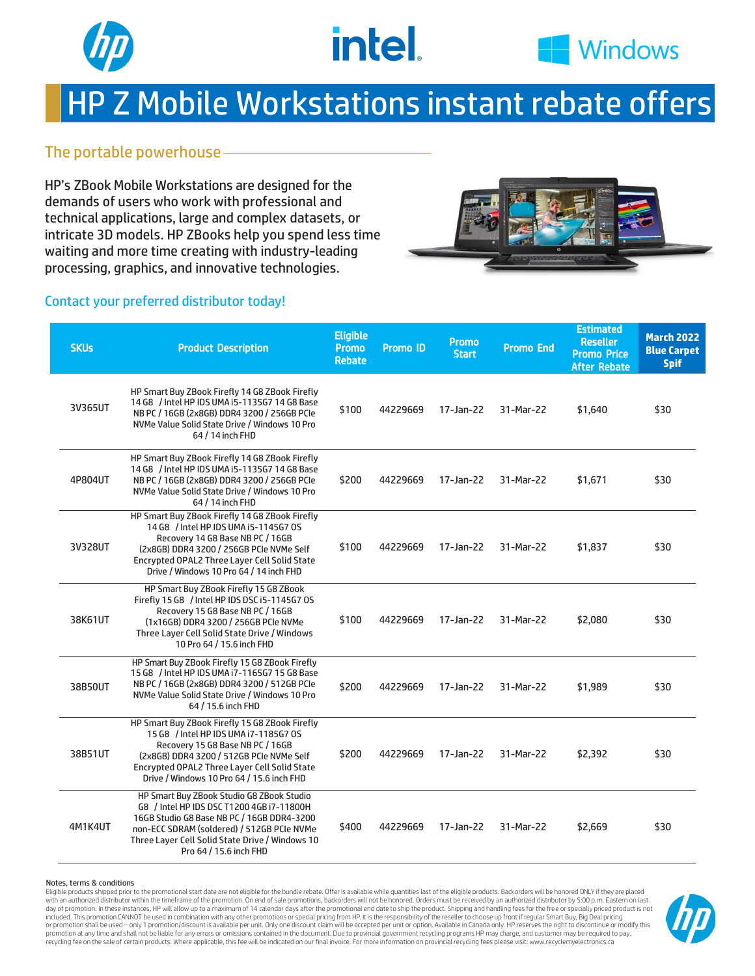



# HP Z Mobile Workstations instant rebate offers

### The portable powerhouse

HP's ZBook Mobile Workstations are designed for the demands of users who work with professional and technical applications, large and complex datasets, or intricate 3D models. HP ZBooks help you spend less time waiting and more time creating with industry-leading processing, graphics, and innovative technologies.



#### Contact your preferred distributor today!

| <b>SKUs</b> | <b>Product Description</b>                                                                                                                                                                                                                                           | <b>Eligible</b><br>Promo<br><b>Rebate</b> | <b>Promo ID</b> | <b>Promo</b><br><b>Start</b> | <b>Promo End</b> | <b>Estimated</b><br><b>Reseller</b><br><b>Promo Price</b><br><b>After Rebate</b> | <b>March 2022</b><br><b>Blue Carpet</b><br><b>Spif</b> |
|-------------|----------------------------------------------------------------------------------------------------------------------------------------------------------------------------------------------------------------------------------------------------------------------|-------------------------------------------|-----------------|------------------------------|------------------|----------------------------------------------------------------------------------|--------------------------------------------------------|
| 3V365UT     | HP Smart Buy ZBook Firefly 14 G8 ZBook Firefly<br>14 G8 / Intel HP IDS UMA i5-1135G7 14 G8 Base<br>NB PC / 16GB (2x8GB) DDR4 3200 / 256GB PCIe<br>NVMe Value Solid State Drive / Windows 10 Pro<br>64 / 14 inch FHD                                                  | \$100                                     | 44229669        | 17-Jan-22                    | 31-Mar-22        | \$1,640                                                                          | \$30                                                   |
| 4P804UT     | HP Smart Buy ZBook Firefly 14 G8 ZBook Firefly<br>14 G8 / Intel HP IDS UMA i5-1135 G7 14 G8 Base<br>NB PC / 16GB (2x8GB) DDR4 3200 / 256GB PCIe<br>NVMe Value Solid State Drive / Windows 10 Pro<br>64 / 14 inch FHD                                                 | \$200                                     | 44229669        | 17-Jan-22                    | 31-Mar-22        | \$1,671                                                                          | \$30                                                   |
| 3V328UT     | HP Smart Buy ZBook Firefly 14 G8 ZBook Firefly<br>14 G8 / Intel HP IDS UMA i5-1145G7 0S<br>Recovery 14 G8 Base NB PC / 16GB<br>(2x8GB) DDR4 3200 / 256GB PCIe NVMe Self<br>Encrypted OPAL2 Three Layer Cell Solid State<br>Drive / Windows 10 Pro 64 / 14 inch FHD   | \$100                                     | 44229669        | 17-Jan-22                    | 31-Mar-22        | \$1,837                                                                          | \$30                                                   |
| 38K61UT     | HP Smart Buy ZBook Firefly 15 G8 ZBook<br>Firefly 15 G8 / Intel HP IDS DSC i5-1145G7 0S<br>Recovery 15 G8 Base NB PC / 16GB<br>(1x16GB) DDR4 3200 / 256GB PCIe NVMe<br>Three Layer Cell Solid State Drive / Windows<br>10 Pro 64 / 15.6 inch FHD                     | \$100                                     | 44229669        | 17-Jan-22                    | 31-Mar-22        | \$2,080                                                                          | \$30                                                   |
| 38B50UT     | HP Smart Buy ZBook Firefly 15 G8 ZBook Firefly<br>15 G8 / Intel HP IDS UMA i7-1165G7 15 G8 Base<br>NB PC / 16GB (2x8GB) DDR4 3200 / 512GB PCIe<br>NVMe Value Solid State Drive / Windows 10 Pro<br>64 / 15.6 inch FHD                                                | \$200                                     | 44229669        | 17-Jan-22                    | 31-Mar-22        | \$1,989                                                                          | \$30                                                   |
| 38B51UT     | HP Smart Buy ZBook Firefly 15 G8 ZBook Firefly<br>15 G8 / Intel HP IDS UMA 17-1185G7 OS<br>Recovery 15 G8 Base NB PC / 16GB<br>(2x8GB) DDR4 3200 / 512GB PCIe NVMe Self<br>Encrypted OPAL2 Three Layer Cell Solid State<br>Drive / Windows 10 Pro 64 / 15.6 inch FHD | \$200                                     | 44229669        | 17-Jan-22                    | 31-Mar-22        | \$2,392                                                                          | \$30                                                   |
| 4M1K4UT     | HP Smart Buy ZBook Studio G8 ZBook Studio<br>G8 / Intel HP IDS DSC T1200 4GB i7-11800H<br>16GB Studio G8 Base NB PC / 16GB DDR4-3200<br>non-ECC SDRAM (soldered) / 512GB PCIe NVMe<br>Three Layer Cell Solid State Drive / Windows 10<br>Pro 64 / 15.6 inch FHD      | \$400                                     | 44229669        | 17-Jan-22                    | 31-Mar-22        | \$2,669                                                                          | \$30                                                   |

Notes, terms & conditions

Eligible products shipped prior to the promotional start date are not eligible for the bundle rebate. Offer is available while quantities last of the eligible products. Backorders will be honored ONLY if they are placed with an authorized distributor within the timeframe of the promotion. On end of sale promotions, backorders will not be honored. Orders must be received by an authorized distributor by 5:00 p.m. Eastern on last day of promotion. In these instances, HP will allow up to a maximum of 14 calendar days after the promotional end date to ship the product. Shipping and handling fees for the free or specially priced product is not included. This promotion CANNOT be used in combination with any other promotions or special pricing from HP. It is the responsibility of the reseller to choose up front if regular Smart Buy, Big Deal pricing or promotion shall be used – only 1 promotion/discount is available per unit. Only one discount claim will be accepted per unit or option. Available in Canada only. HP reserves the right to discontinue or modify this promotion at any time and shall not be liable for any errors or omissions contained in the document. Due to provincial government recycling programs HP may charge, and customer may be required to pay, recycling fee on the sale of certain products. Where applicable, this fee will be indicated on our final invoice. For more information on provincial recycling fees please visit: www.recyclemyelectronics.ca

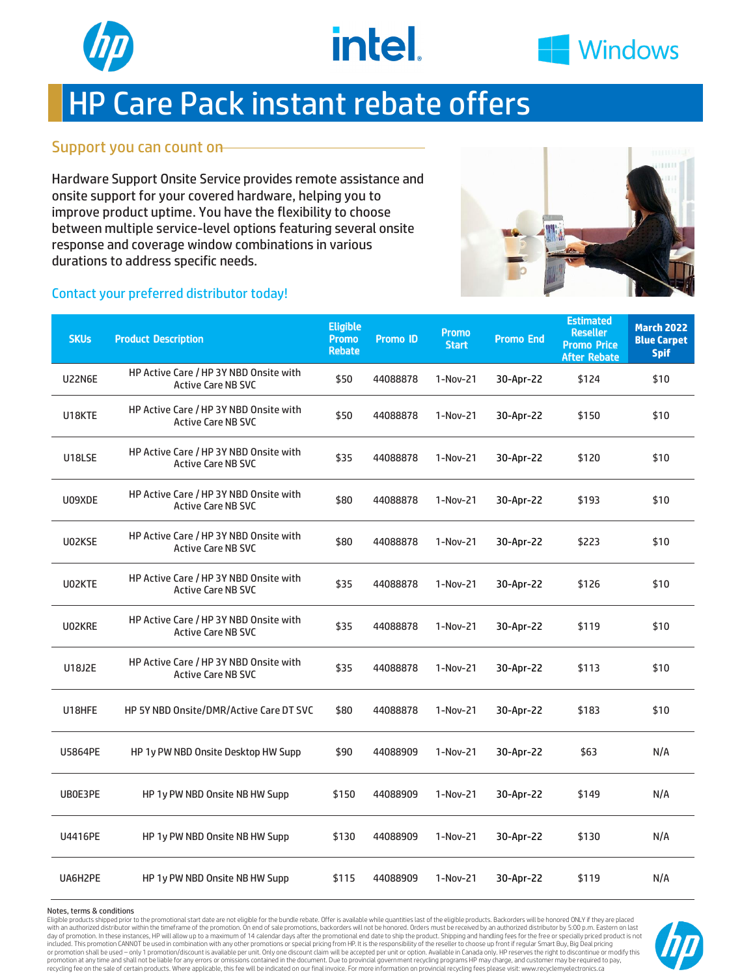



### HP Care Pack instant rebate offers

#### Support you can count on

Hardware Support Onsite Service provides remote assistance and onsite support for your covered hardware, helping you to improve product uptime. You have the flexibility to choose between multiple service-level options featuring several onsite response and coverage window combinations in various durations to address specific needs.



#### Contact your preferred distributor today!

| <b>SKUs</b>   | <b>Product Description</b>                                          | <b>Eligible</b><br><b>Promo</b><br><b>Rebate</b> | <b>Promo ID</b> | <b>Promo</b><br><b>Start</b> | <b>Promo End</b> | <b>Estimated</b><br><b>Reseller</b><br><b>Promo Price</b><br><b>After Rebate</b> | <b>March 2022</b><br><b>Blue Carpet</b><br><b>Spif</b> |
|---------------|---------------------------------------------------------------------|--------------------------------------------------|-----------------|------------------------------|------------------|----------------------------------------------------------------------------------|--------------------------------------------------------|
| U22N6E        | HP Active Care / HP 3Y NBD Onsite with<br><b>Active Care NB SVC</b> | \$50                                             | 44088878        | 1-Nov-21                     | 30-Apr-22        | \$124                                                                            | \$10                                                   |
| U18KTE        | HP Active Care / HP 3Y NBD Onsite with<br><b>Active Care NB SVC</b> | \$50                                             | 44088878        | 1-Nov-21                     | 30-Apr-22        | \$150                                                                            | \$10                                                   |
| U18LSE        | HP Active Care / HP 3Y NBD Onsite with<br><b>Active Care NB SVC</b> | \$35                                             | 44088878        | 1-Nov-21                     | 30-Apr-22        | \$120                                                                            | \$10                                                   |
| U09XDE        | HP Active Care / HP 3Y NBD Onsite with<br><b>Active Care NB SVC</b> | \$80                                             | 44088878        | 1-Nov-21                     | 30-Apr-22        | \$193                                                                            | \$10                                                   |
| U02KSE        | HP Active Care / HP 3Y NBD Onsite with<br><b>Active Care NB SVC</b> | \$80                                             | 44088878        | $1-Nov-21$                   | 30-Apr-22        | \$223                                                                            | \$10                                                   |
| U02KTE        | HP Active Care / HP 3Y NBD Onsite with<br><b>Active Care NB SVC</b> | \$35                                             | 44088878        | 1-Nov-21                     | 30-Apr-22        | \$126                                                                            | \$10                                                   |
| U02KRE        | HP Active Care / HP 3Y NBD Onsite with<br><b>Active Care NB SVC</b> | \$35                                             | 44088878        | 1-Nov-21                     | 30-Apr-22        | \$119                                                                            | \$10                                                   |
| <b>U18J2E</b> | HP Active Care / HP 3Y NBD Onsite with<br><b>Active Care NB SVC</b> | \$35                                             | 44088878        | 1-Nov-21                     | 30-Apr-22        | \$113                                                                            | \$10                                                   |
| U18HFE        | HP 5Y NBD Onsite/DMR/Active Care DT SVC                             | \$80                                             | 44088878        | 1-Nov-21                     | 30-Apr-22        | \$183                                                                            | \$10                                                   |
| U5864PE       | HP 1y PW NBD Onsite Desktop HW Supp                                 | \$90                                             | 44088909        | 1-Nov-21                     | 30-Apr-22        | \$63                                                                             | N/A                                                    |
| UB0E3PE       | HP 1y PW NBD Onsite NB HW Supp                                      | \$150                                            | 44088909        | 1-Nov-21                     | 30-Apr-22        | \$149                                                                            | N/A                                                    |
| U4416PE       | HP 1y PW NBD Onsite NB HW Supp                                      | \$130                                            | 44088909        | 1-Nov-21                     | 30-Apr-22        | \$130                                                                            | N/A                                                    |
| UA6H2PE       | HP 1y PW NBD Onsite NB HW Supp                                      | \$115                                            | 44088909        | 1-Nov-21                     | 30-Apr-22        | \$119                                                                            | N/A                                                    |

Notes, terms & conditions

Eligible products shipped prior to the promotional start date are not eligible for the bundle rebate. Offer is available while quantities last of the eligible products. Backorders will be honored ONLY if they are placed with an authorized distributor within the timeframe of the promotion. On end of sale promotions, backorders will not be honored. Orders must be received by an authorized distributor by 5:00 p.m. Eastern on last day of promotion. In these instances, HP will allow up to a maximum of 14 calendar days after the promotional end date to ship the product. Shipping and handling fees for the free or specially priced product is not<br>include or promotion shall be used – only 1 promotion/discount is available per unit. Only one discount claim will be accepted per unit or option. Available in Canada only. HP reserves the right to discontinue or modify this<br>promo recycling fee on the sale of certain products. Where applicable, this fee will be indicated on our final invoice. For more information on provincial recycling fees please visit: www.recyclemyelectronics.ca